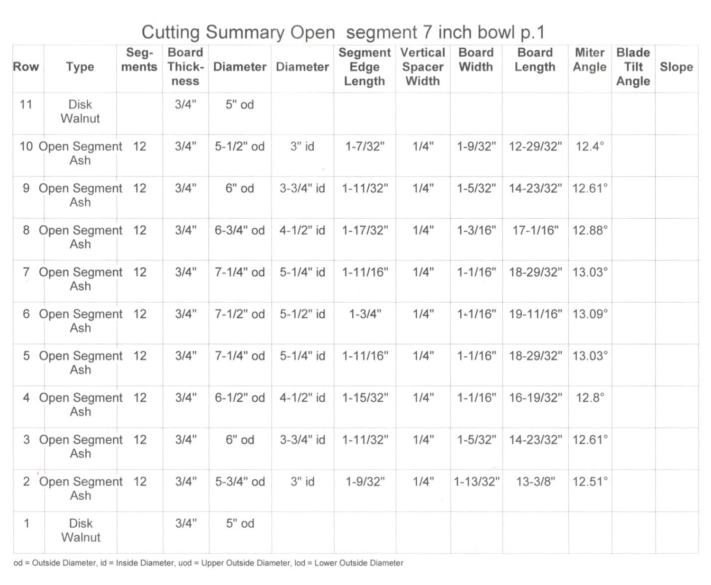## **Cutting Summary Open segment / inch bowl p.1**

| Row            | Type                      | Seg-<br>ments | <b>Board</b><br>Thick-<br>ness | <b>Diameter</b> | Diameter  | Segment Vertical<br>Edge<br>Length | Spacer<br>Width | <b>Board</b><br>Width | <b>Board</b><br>Length | <b>Miter</b><br>Angle | <b>Blade</b><br>Tilt<br>Angle | Slope |
|----------------|---------------------------|---------------|--------------------------------|-----------------|-----------|------------------------------------|-----------------|-----------------------|------------------------|-----------------------|-------------------------------|-------|
| 11             | <b>Disk</b><br>Walnut     |               | 3/4"                           | $5"$ od         |           |                                    |                 |                       |                        |                       |                               |       |
|                | 10 Open Segment 12<br>Ash |               | 3/4"                           | 5-1/2" od       | $3"$ id   | $1 - 7/32"$                        | 1/4"            | $1 - 9/32"$           | 12-29/32"              | $12.4^\circ$          |                               |       |
| 9              | Open Segment 12<br>Ash    |               | 3/4"                           | 6" od           | 3-3/4" id | $1 - 11/32"$                       | 1/4"            | $1 - 5/32"$           | 14-23/32"              | $12.61^\circ$         |                               |       |
|                | 8 Open Segment 12<br>Ash  |               | 3/4"                           | 6-3/4" od       | 4-1/2" id | $1 - 17/32"$                       | 1/4"            | $1 - 3/16"$           | 17-1/16"               | 12.88°                |                               |       |
| $\overline{7}$ | Open Segment 12<br>Ash    |               | 3/4"                           | 7-1/4" od       | 5-1/4" id | $1 - 11/16"$                       | 1/4"            | $1 - 1/16"$           | 18-29/32"              | $13.03^\circ$         |                               |       |
|                | 6 Open Segment 12<br>Ash  |               | 3/4"                           | 7-1/2" od       | 5-1/2" id | $1 - 3/4"$                         | 1/4"            | $1 - 1/16"$           | 19-11/16"              | 13.09°                |                               |       |
|                | 5 Open Segment 12<br>Ash  |               | 3/4"                           | 7-1/4" od       | 5-1/4" id | $1 - 11/16"$                       | 1/4"            | $1 - 1/16"$           | 18-29/32"              | $13.03^\circ$         |                               |       |
|                | 4 Open Segment 12<br>Ash  |               | 3/4"                           | 6-1/2" od       | 4-1/2" id | $1 - 15/32"$                       | 1/4"            | $1 - 1/16"$           | 16-19/32"              | $12.8^\circ$          |                               |       |
|                | 3 Open Segment 12<br>Ash  |               | 3/4"                           | 6" od           | 3-3/4" id | $1 - 11/32"$                       | 1/4"            | $1 - 5/32"$           | 14-23/32"              | $12.61^\circ$         |                               |       |
|                | 2 Open Segment 12<br>Ash  |               | 3/4"                           | 5-3/4" od       | $3"$ id   | $1 - 9/32"$                        | 1/4"            | $1 - 13/32"$          | $13 - 3/8"$            | $12.51^\circ$         |                               |       |
| 1              | <b>Disk</b><br>Walnut     |               | 3/4"                           | 5" od           |           |                                    |                 |                       |                        |                       |                               |       |

od = Outside Diameter, id = Inside Diameter, uod = Upper Outside Diameter, lod = Lower Outside Diameter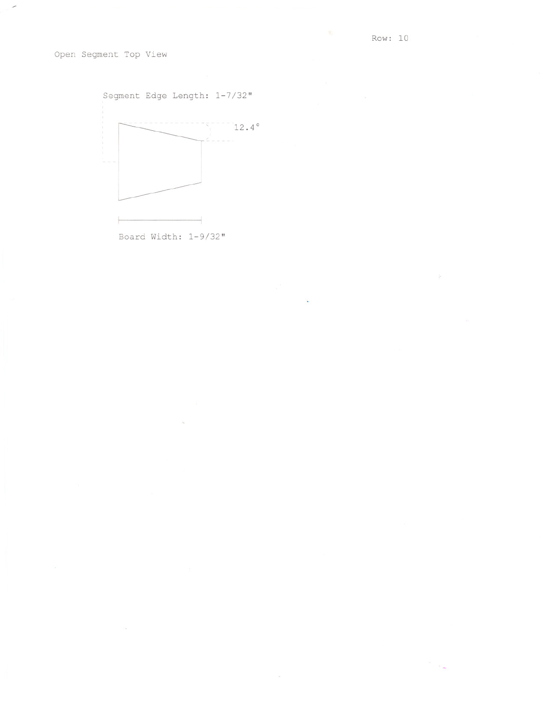$\tilde{\mathcal{R}}$ 

Open Segment Top View

 $\overline{\phantom{a}}$ 



Board Width: 1-9/32"